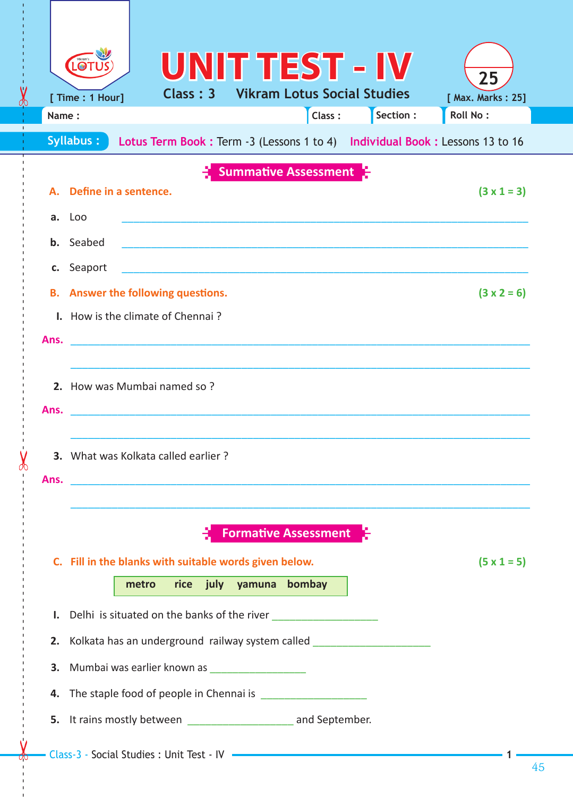|                                                                                            | <b>LOT</b>                                                                   |       |          |                         |                                    | <b>UNITTEST - IV</b>                                                                                                 | 25                |  |  |  |
|--------------------------------------------------------------------------------------------|------------------------------------------------------------------------------|-------|----------|-------------------------|------------------------------------|----------------------------------------------------------------------------------------------------------------------|-------------------|--|--|--|
|                                                                                            | [ Time : 1 Hour]                                                             |       | Class: 3 |                         | <b>Vikram Lotus Social Studies</b> |                                                                                                                      | [ Max. Marks: 25] |  |  |  |
| Name:                                                                                      |                                                                              |       |          |                         | Class:                             | Section :                                                                                                            | <b>Roll No:</b>   |  |  |  |
| Syllabus:<br>Lotus Term Book : Term -3 (Lessons 1 to 4) Individual Book : Lessons 13 to 16 |                                                                              |       |          |                         |                                    |                                                                                                                      |                   |  |  |  |
| <b>Summative Assessment</b>                                                                |                                                                              |       |          |                         |                                    |                                                                                                                      |                   |  |  |  |
| А.                                                                                         | Define in a sentence.<br>$(3 \times 1 = 3)$                                  |       |          |                         |                                    |                                                                                                                      |                   |  |  |  |
| a.                                                                                         | Loo                                                                          |       |          |                         |                                    |                                                                                                                      |                   |  |  |  |
| b.                                                                                         | Seabed                                                                       |       |          |                         |                                    |                                                                                                                      |                   |  |  |  |
| c.                                                                                         | Seaport                                                                      |       |          |                         |                                    |                                                                                                                      |                   |  |  |  |
| В.                                                                                         | $(3 \times 2 = 6)$<br>Answer the following questions.                        |       |          |                         |                                    |                                                                                                                      |                   |  |  |  |
|                                                                                            | I. How is the climate of Chennai?                                            |       |          |                         |                                    |                                                                                                                      |                   |  |  |  |
| Ans.                                                                                       |                                                                              |       |          |                         |                                    |                                                                                                                      |                   |  |  |  |
|                                                                                            |                                                                              |       |          |                         |                                    |                                                                                                                      |                   |  |  |  |
|                                                                                            | 2. How was Mumbai named so?                                                  |       |          |                         |                                    |                                                                                                                      |                   |  |  |  |
| Ans.                                                                                       |                                                                              |       |          |                         |                                    |                                                                                                                      |                   |  |  |  |
|                                                                                            |                                                                              |       |          |                         |                                    |                                                                                                                      |                   |  |  |  |
| З.                                                                                         | What was Kolkata called earlier?                                             |       |          |                         |                                    |                                                                                                                      |                   |  |  |  |
| Ans.                                                                                       |                                                                              |       |          |                         |                                    | <u> 2000 - 2000 - 2000 - 2000 - 2000 - 2000 - 2000 - 2000 - 2000 - 2000 - 2000 - 2000 - 2000 - 2000 - 2000 - 200</u> |                   |  |  |  |
|                                                                                            |                                                                              |       |          |                         |                                    |                                                                                                                      |                   |  |  |  |
|                                                                                            | <b>Formative Assessment</b>                                                  |       |          |                         |                                    |                                                                                                                      |                   |  |  |  |
|                                                                                            | C. Fill in the blanks with suitable words given below.<br>$(5 \times 1 = 5)$ |       |          |                         |                                    |                                                                                                                      |                   |  |  |  |
|                                                                                            |                                                                              | metro |          | rice july yamuna bombay |                                    |                                                                                                                      |                   |  |  |  |
| Ι.                                                                                         |                                                                              |       |          |                         |                                    |                                                                                                                      |                   |  |  |  |
| 2.                                                                                         |                                                                              |       |          |                         |                                    |                                                                                                                      |                   |  |  |  |
| 3.                                                                                         | Kolkata has an underground railway system called                             |       |          |                         |                                    |                                                                                                                      |                   |  |  |  |
|                                                                                            | Mumbai was earlier known as ______________________                           |       |          |                         |                                    |                                                                                                                      |                   |  |  |  |
| 4.                                                                                         |                                                                              |       |          |                         |                                    |                                                                                                                      |                   |  |  |  |
| 5.                                                                                         | It rains mostly between ________________________ and September.              |       |          |                         |                                    |                                                                                                                      |                   |  |  |  |
|                                                                                            |                                                                              |       |          |                         |                                    |                                                                                                                      |                   |  |  |  |

------ - - --------------------------------------- --- -------------------------------------------------- -------------